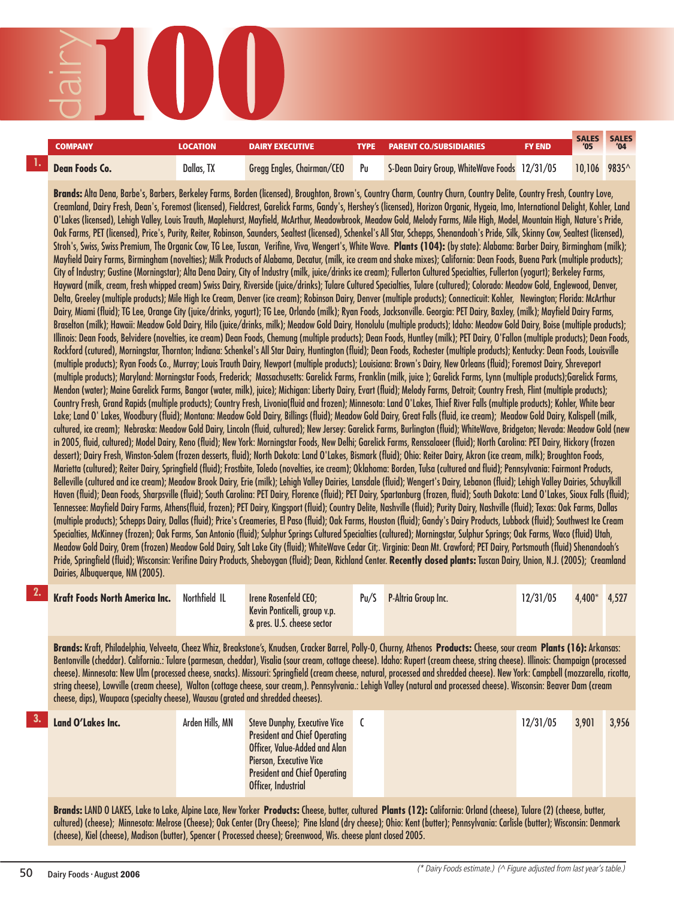SALES SALES<br>'05 '04 **COMPANY** LOCATION DAIRY EXECUTIVE TYPE PARENT CO./SUBSIDIARIES FY END <sup>SALES</sup> SALES Dean Foods Co. **Dallas, TX** Gregg Engles, Chairman/CEO Pu S-Dean Dairy Group, WhiteWave Foods 12/31/05 10,106 9835^

**Brands:** Alta Dena, Barbe's, Barbers, Berkeley Farms, Borden (licensed), Broughton, Brown's, Country Charm, Country Churn, Country Delite, Country Fresh, Country Love, Creamland, Dairy Fresh, Dean's, Foremost (licensed), Fieldcrest, Garelick Farms, Gandy's, Hershey's (licensed), Horizon Organic, Hygeia, Imo, International Delight, Kohler, Land O'Lakes (licensed), Lehigh Valley, Louis Trauth, Maplehurst, Mayfield, McArthur, Meadowbrook, Meadow Gold, Melody Farms, Mile High, Model, Mountain High, Nature's Pride, Oak Farms, PET (licensed), Price's, Purity, Reiter, Robinson, Saunders, Sealtest (licensed), Schenkel's All Star, Schepps, Shenandoah's Pride, Silk, Skinny Cow, Sealtest (licensed), Stroh's, Swiss, Swiss Premium, The Organic Cow, TG Lee, Tuscan, Verifine, Viva, Wengert's, White Wave. **Plants (104):** (by state): Alabama: Barber Dairy, Birmingham (milk); Mayfield Dairy Farms, Birmingham (novelties); Milk Products of Alabama, Decatur, (milk, ice cream and shake mixes); California: Dean Foods, Buena Park (multiple products); City of Industry; Gustine (Morningstar); Alta Dena Dairy, City of Industry (milk, juice/drinks ice cream); Fullerton Cultured Specialties, Fullerton (yogurt); Berkeley Farms, Hayward (milk, cream, fresh whipped cream) Swiss Dairy, Riverside (juice/drinks); Tulare Cultured Specialties, Tulare (cultured); Colorado: Meadow Gold, Englewood, Denver, Delta, Greeley (multiple products); Mile High Ice Cream, Denver (ice cream); Robinson Dairy, Denver (multiple products); Connecticuit: Kohler, Newington; Florida: McArthur Dairy, Miami (fluid); TG Lee, Orange City (juice/drinks, yogurt); TG Lee, Orlando (milk); Ryan Foods, Jacksonville. Georgia: PET Dairy, Baxley, (milk); Mayfield Dairy Farms, Braselton (milk); Hawaii: Meadow Gold Dairy, Hilo (juice/drinks, milk); Meadow Gold Dairy, Honolulu (multiple products); Idaho: Meadow Gold Dairy, Boise (multiple products); Illinois: Dean Foods, Belvidere (novelties, ice cream) Dean Foods, Chemung (multiple products); Dean Foods, Huntley (milk); PET Dairy, O'Fallon (multiple products); Dean Foods, Rockford (cutured), Morningstar, Thornton; Indiana: Schenkel's All Star Dairy, Huntington (fluid); Dean Foods, Rochester (multiple products); Kentucky: Dean Foods, Louisville (multiple products); Ryan Foods Co., Murray; Louis Trauth Dairy, Newport (multiple products); Louisiana: Brown's Dairy, New Orleans (fluid); Foremost Dairy, Shreveport (multiple products); Maryland: Morningstar Foods, Frederick; Massachusetts: Garelick Farms, Franklin (milk, juice ); Garelick Farms, Lynn (multiple products);Garelick Farms, Mendon (water); Maine Garelick Farms, Bangor (water, milk), juice); Michigan: Liberty Dairy, Evart (fluid); Melody Farms, Detroit; Country Fresh, Flint (multiple products); Country Fresh, Grand Rapids (multiple products); Country Fresh, Livonia(fluid and frozen); Minnesota: Land O'Lakes, Thief River Falls (multiple products); Kohler, White bear Lake; Land O' Lakes, Woodbury (fluid); Montana: Meadow Gold Dairy, Billings (fluid); Meadow Gold Dairy, Great Falls (fluid, ice cream); Meadow Gold Dairy, Kalispell (milk, cultured, ice cream); Nebraska: Meadow Gold Dairy, Lincoln (fluid, cultured); New Jersey: Garelick Farms, Burlington (fluid); WhiteWave, Bridgeton; Nevada: Meadow Gold (new in 2005, fluid, cultured); Model Dairy, Reno (fluid); New York: Morningstar Foods, New Delhi; Garelick Farms, Renssalaeer (fluid); North Carolina: PET Dairy, Hickory (frozen dessert); Dairy Fresh, Winston-Salem (frozen desserts, fluid); North Dakota: Land O'Lakes, Bismark (fluid); Ohio: Reiter Dairy, Akron (ice cream, milk); Broughton Foods, Marietta (cultured); Reiter Dairy, Springfield (fluid); Frostbite, Toledo (novelties, ice cream); Oklahoma: Borden, Tulsa (cultured and fluid); Pennsylvania: Fairmont Products, Belleville (cultured and ice cream); Meadow Brook Dairy, Erie (milk); Lehigh Valley Dairies, Lansdale (fluid); Wengert's Dairy, Lebanon (fluid); Lehigh Valley Dairies, Schuylkill Haven (fluid); Dean Foods, Sharpsville (fluid); South Carolina: PET Dairy, Florence (fluid); PET Dairy, Spartanburg (frozen, fluid); South Dakota: Land O'Lakes, Sioux Falls (fluid); Tennessee: Mayfield Dairy Farms, Athens(fluid, frozen); PET Dairy, Kingsport (fluid); Country Delite, Nashville (fluid); Purity Dairy, Nashville (fluid); Texas: Oak Farms, Dallas (multiple products); Schepps Dairy, Dallas (fluid); Price's Creameries, El Paso (fluid); Oak Farms, Houston (fluid); Gandy's Dairy Products, Lubbock (fluid); Southwest Ice Cream Specialties, McKinney (frozen); Oak Farms, San Antonio (fluid); Sulphur Springs Cultured Specialties (cultured); Morningstar, Sulphur Springs; Oak Farms, Waco (fluid) Utah, Meadow Gold Dairy, Orem (frozen) Meadow Gold Dairy, Salt Lake City (fluid); WhiteWave Cedar Cit;. Virginia: Dean Mt. Crawford; PET Dairy, Portsmouth (fluid) Shenandoah's Pride, Springfield (fluid); Wisconsin: Verifine Dairy Products, Sheboygan (fluid); Dean, Richland Center. **Recently closed plants:** Tuscan Dairy, Union, N.J. (2005); Creamland Dairies, Albuquerque, NM (2005).

| Northfield IL<br><b>Kraft Foods North America Inc.</b> | Irene Rosenfeld CEO;<br>Kevin Ponticelli, group v.p.<br>& pres. U.S. cheese sector | Pu/S | <b>P-Altria Group Inc.</b> | 12/31/05 | $4.400*$ 4.527 |  |
|--------------------------------------------------------|------------------------------------------------------------------------------------|------|----------------------------|----------|----------------|--|
|--------------------------------------------------------|------------------------------------------------------------------------------------|------|----------------------------|----------|----------------|--|

**Brands:** Kraft, Philadelphia, Velveeta, Cheez Whiz, Breakstone's, Knudsen, Cracker Barrel, Polly-O, Churny, Athenos **Products:** Cheese, sour cream **Plants (16):** Arkansas: Bentonville (cheddar). California.: Tulare (parmesan, cheddar), Visalia (sour cream, cottage cheese). Idaho: Rupert (cream cheese, string cheese). Illinois: Champaign (processed cheese). Minnesota: New Ulm (processed cheese, snacks). Missouri: Springfield (cream cheese, natural, processed and shredded cheese). New York: Campbell (mozzarella, ricotta, string cheese), Lowville (cream cheese), Walton (cottage cheese, sour cream,). Pennsylvania.: Lehigh Valley (natural and processed cheese). Wisconsin: Beaver Dam (cream cheese, dips), Waupaca (specialty cheese), Wausau (grated and shredded cheeses).

| <b>President and Chief Operating</b><br>Officer, Value-Added and Alan<br>Pierson, Executive Vice<br><b>President and Chief Operating</b><br>Officer, Industrial | 3.901<br>3,956 |
|-----------------------------------------------------------------------------------------------------------------------------------------------------------------|----------------|
|-----------------------------------------------------------------------------------------------------------------------------------------------------------------|----------------|

**Brands:** LAND O LAKES, Lake to Lake, Alpine Lace, New Yorker **Products:**Cheese, butter, cultured **Plants (12):** California: Orland (cheese), Tulare (2) (cheese, butter, cultured) (cheese); Minnesota: Melrose (Cheese); Oak Center (Dry Cheese); Pine Island (dry cheese); Ohio: Kent (butter); Pennsylvania: Carlisle (butter); Wisconsin: Denmark (cheese), Kiel (cheese), Madison (butter), Spencer ( Processed cheese); Greenwood, Wis. cheese plant closed 2005.

**1.**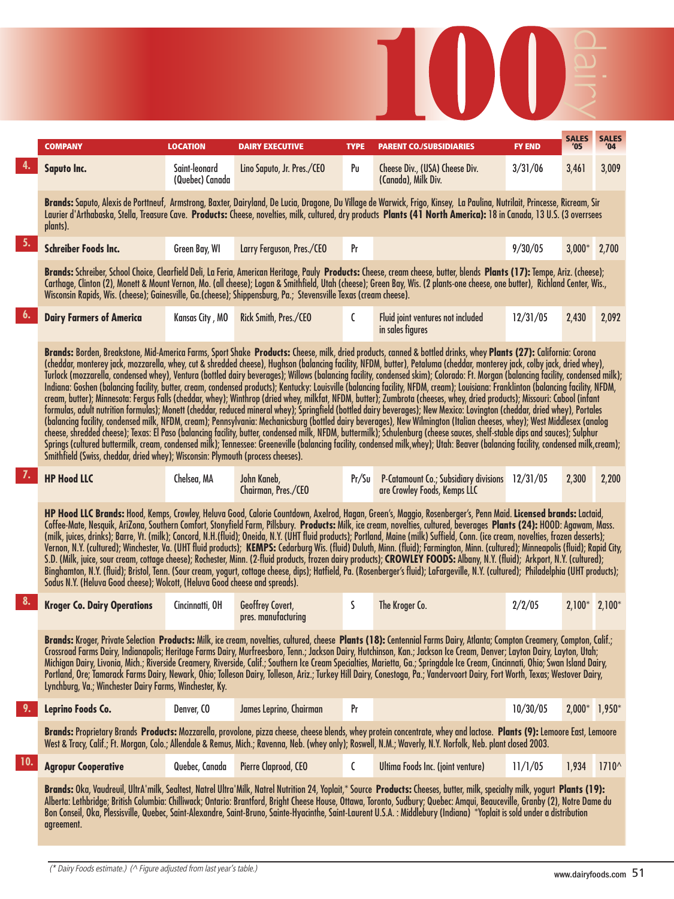|     | COMPANY                                                                                                                                                                                                                                                                                                                                                                                                                                                                                                                                                                                                                                                                                                                                                                                                                                                                                                                                                                                                                                                                                                                                                                                                                                                                                                                                                                                                                                                                                                                                                                                                                                                                                                                                                                                                              | <b>LOCATION</b>                  | <b>DAIRY EXECUTIVE</b>                         | <b>TYPE</b> | <b>PARENT CO./SUBSIDIARIES</b>                                                                                                                                                                                                                                                                                                                                                                                                                                                                                                                                                                                                                                                                                                                                                                                                                                                                                                                                                                                                                                                                                                                                                                                                                                                                                                                                                                                                                                                                                                                                                                                                    | <b>FY END</b> | <b>SALES</b><br>'05 | <b>SALES</b><br>'04 |  |
|-----|----------------------------------------------------------------------------------------------------------------------------------------------------------------------------------------------------------------------------------------------------------------------------------------------------------------------------------------------------------------------------------------------------------------------------------------------------------------------------------------------------------------------------------------------------------------------------------------------------------------------------------------------------------------------------------------------------------------------------------------------------------------------------------------------------------------------------------------------------------------------------------------------------------------------------------------------------------------------------------------------------------------------------------------------------------------------------------------------------------------------------------------------------------------------------------------------------------------------------------------------------------------------------------------------------------------------------------------------------------------------------------------------------------------------------------------------------------------------------------------------------------------------------------------------------------------------------------------------------------------------------------------------------------------------------------------------------------------------------------------------------------------------------------------------------------------------|----------------------------------|------------------------------------------------|-------------|-----------------------------------------------------------------------------------------------------------------------------------------------------------------------------------------------------------------------------------------------------------------------------------------------------------------------------------------------------------------------------------------------------------------------------------------------------------------------------------------------------------------------------------------------------------------------------------------------------------------------------------------------------------------------------------------------------------------------------------------------------------------------------------------------------------------------------------------------------------------------------------------------------------------------------------------------------------------------------------------------------------------------------------------------------------------------------------------------------------------------------------------------------------------------------------------------------------------------------------------------------------------------------------------------------------------------------------------------------------------------------------------------------------------------------------------------------------------------------------------------------------------------------------------------------------------------------------------------------------------------------------|---------------|---------------------|---------------------|--|
|     | Saputo Inc.                                                                                                                                                                                                                                                                                                                                                                                                                                                                                                                                                                                                                                                                                                                                                                                                                                                                                                                                                                                                                                                                                                                                                                                                                                                                                                                                                                                                                                                                                                                                                                                                                                                                                                                                                                                                          | Saint-leonard<br>(Quebec) Canada | Lino Saputo, Jr. Pres./CEO                     | Pu          | Cheese Div., (USA) Cheese Div.<br>(Canada), Milk Div.                                                                                                                                                                                                                                                                                                                                                                                                                                                                                                                                                                                                                                                                                                                                                                                                                                                                                                                                                                                                                                                                                                                                                                                                                                                                                                                                                                                                                                                                                                                                                                             | 3/31/06       | 3,461               | 3,009               |  |
|     | plants).                                                                                                                                                                                                                                                                                                                                                                                                                                                                                                                                                                                                                                                                                                                                                                                                                                                                                                                                                                                                                                                                                                                                                                                                                                                                                                                                                                                                                                                                                                                                                                                                                                                                                                                                                                                                             |                                  |                                                |             | Brands: Saputo, Alexis de Porttneuf, Armstrong, Baxter, Dairyland, De Lucia, Dragone, Du Village de Warwick, Frigo, Kinsey, La Paulina, Nutrilait, Princesse, Ricream, Sir<br>Laurier d'Arthabaska, Stella, Treasure Cave. Products: Cheese, novelties, milk, cultured, dry products Plants (41 North America): 18 in Canada, 13 U.S. (3 overrsees                                                                                                                                                                                                                                                                                                                                                                                                                                                                                                                                                                                                                                                                                                                                                                                                                                                                                                                                                                                                                                                                                                                                                                                                                                                                                |               |                     |                     |  |
| 5.  | <b>Schreiber Foods Inc.</b>                                                                                                                                                                                                                                                                                                                                                                                                                                                                                                                                                                                                                                                                                                                                                                                                                                                                                                                                                                                                                                                                                                                                                                                                                                                                                                                                                                                                                                                                                                                                                                                                                                                                                                                                                                                          | Green Bay, WI                    | Larry Ferguson, Pres./CEO                      | Pr          |                                                                                                                                                                                                                                                                                                                                                                                                                                                                                                                                                                                                                                                                                                                                                                                                                                                                                                                                                                                                                                                                                                                                                                                                                                                                                                                                                                                                                                                                                                                                                                                                                                   | 9/30/05       | $3,000*$ 2,700      |                     |  |
|     | Brands: Schreiber, School Choice, Clearfield Deli, La Feria, American Heritage, Pauly Products: Cheese, cream cheese, butter, blends Plants (17): Tempe, Ariz. (cheese);<br>Carthage, Clinton (2), Monett & Mount Vernon, Mo. (all cheese); Logan & Smithfield, Utah (cheese); Green Bay, Wis. (2 plants-one cheese, one butter), Richland Center, Wis.,<br>Wisconsin Rapids, Wis. (cheese); Gainesville, Ga.(cheese); Shippensburg, Pa.; Stevensville Texas (cream cheese).<br>6.<br>12/31/05<br>2,092<br><b>Dairy Farmers of America</b><br>Kansas City, MO<br>Rick Smith, Pres./CEO<br>C<br>Fluid joint ventures not included<br>2,430                                                                                                                                                                                                                                                                                                                                                                                                                                                                                                                                                                                                                                                                                                                                                                                                                                                                                                                                                                                                                                                                                                                                                                            |                                  |                                                |             |                                                                                                                                                                                                                                                                                                                                                                                                                                                                                                                                                                                                                                                                                                                                                                                                                                                                                                                                                                                                                                                                                                                                                                                                                                                                                                                                                                                                                                                                                                                                                                                                                                   |               |                     |                     |  |
|     |                                                                                                                                                                                                                                                                                                                                                                                                                                                                                                                                                                                                                                                                                                                                                                                                                                                                                                                                                                                                                                                                                                                                                                                                                                                                                                                                                                                                                                                                                                                                                                                                                                                                                                                                                                                                                      |                                  |                                                |             | in sales figures                                                                                                                                                                                                                                                                                                                                                                                                                                                                                                                                                                                                                                                                                                                                                                                                                                                                                                                                                                                                                                                                                                                                                                                                                                                                                                                                                                                                                                                                                                                                                                                                                  |               |                     |                     |  |
|     | Smithfield (Swiss, cheddar, dried whey); Wisconsin: Plymouth (process cheeses).                                                                                                                                                                                                                                                                                                                                                                                                                                                                                                                                                                                                                                                                                                                                                                                                                                                                                                                                                                                                                                                                                                                                                                                                                                                                                                                                                                                                                                                                                                                                                                                                                                                                                                                                      |                                  |                                                |             | Brands: Borden, Breakstone, Mid-America Farms, Sport Shake Products: Cheese, milk, dried products, canned & bottled drinks, whey Plants (27): California: Corona<br>(cheddar, monterey jack, mozzarella, whey, cut & shredded cheese), Hughson (balancing facility, NFDM, butter), Petaluma (cheddar, monterey jack, colby jack, dried whey),<br>Turlock (mozzarella, condensed whey), Ventura (bottled dairy beverages); Willows (balancing facility, condensed skim); Colorado: Ft. Morgan (balancing facility, condensed milk);<br>Indiana: Goshen (balancing facility, butter, cream, condensed products); Kentucky: Louisville (balancing facility, NFDM, cream); Louisiana: Franklinton (balancing facility, NFDM,<br>cream, butter); Minnesota: Fergus Falls (cheddar, whey); Winthrop (dried whey, milkfat, NFDM, butter); Zumbrota (cheeses, whey, dried products); Missouri: Cabool (infant<br>formulas, adult nutrition formulas); Monett (cheddar, reduced mineral whey); Springfield (bottled dairy beverages); New Mexico: Lovington (cheddar, dried whey), Portales<br>(balancing facility, condensed milk, NFDM, cream); Pennsylvania: Mechanicsburg (bottled dairy beverages), New Wilmington (Italian cheeses, whey); West Middlesex (analog<br>cheese, shredded cheese); Texas: El Paso (balancing facility, butter, condensed milk, NFDM, buttermilk); Schulenburg (cheese sauces, shelf-stable dips and sauces); Sulphur<br>Springs (cultured buttermilk, cream, condensed milk); Tennessee: Greeneville (balancing facility, condensed milk,whey); Utah: Beaver (balancing facility, condensed milk,cream); |               |                     |                     |  |
| 7.  | <b>HP Hood LLC</b>                                                                                                                                                                                                                                                                                                                                                                                                                                                                                                                                                                                                                                                                                                                                                                                                                                                                                                                                                                                                                                                                                                                                                                                                                                                                                                                                                                                                                                                                                                                                                                                                                                                                                                                                                                                                   | Chelsea, MA                      | John Kaneb,<br>Chairman, Pres./CEO             | Pr/Su       | P-Catamount Co.; Subsidiary divisions 12/31/05<br>are Crowley Foods, Kemps LLC                                                                                                                                                                                                                                                                                                                                                                                                                                                                                                                                                                                                                                                                                                                                                                                                                                                                                                                                                                                                                                                                                                                                                                                                                                                                                                                                                                                                                                                                                                                                                    |               | 2,300               | 2,200               |  |
|     |                                                                                                                                                                                                                                                                                                                                                                                                                                                                                                                                                                                                                                                                                                                                                                                                                                                                                                                                                                                                                                                                                                                                                                                                                                                                                                                                                                                                                                                                                                                                                                                                                                                                                                                                                                                                                      |                                  |                                                |             | HP Hood LLC Brands: Hood, Kemps, Crowley, Heluva Good, Calorie Countdown, Axelrod, Hagan, Green's, Maggio, Rosenberger's, Penn Maid. Licensed brands: Lactaid,                                                                                                                                                                                                                                                                                                                                                                                                                                                                                                                                                                                                                                                                                                                                                                                                                                                                                                                                                                                                                                                                                                                                                                                                                                                                                                                                                                                                                                                                    |               |                     |                     |  |
| 8.  | <b>Kroger Co. Dairy Operations</b>                                                                                                                                                                                                                                                                                                                                                                                                                                                                                                                                                                                                                                                                                                                                                                                                                                                                                                                                                                                                                                                                                                                                                                                                                                                                                                                                                                                                                                                                                                                                                                                                                                                                                                                                                                                   | Cincinnatti, OH                  | <b>Geoffrey Covert,</b><br>pres. manufacturing | S           | The Kroger Co.                                                                                                                                                                                                                                                                                                                                                                                                                                                                                                                                                                                                                                                                                                                                                                                                                                                                                                                                                                                                                                                                                                                                                                                                                                                                                                                                                                                                                                                                                                                                                                                                                    | 2/2/05        |                     |                     |  |
|     | Coffee-Mate, Nesquik, AriZona, Southern Comfort, Stonyfield Farm, Pillsbury. Products: Milk, ice cream, novelties, cultured, beverages Plants (24): HOOD: Agawam, Mass.<br>(milk, juices, drinks); Barre, Vt. (milk); Concord, N.H.(fluid); Oneida, N.Y. (UHT fluid products); Portland, Maine (milk) Suffield, Conn. (ice cream, novelties, frozen desserts);<br>Vernon, N.Y. (cultured); Winchester, Va. (UHT fluid products); KEMPS: Cedarburg Wis. (fluid) Duluth, Minn. (fluid); Farmington, Minn. (cultured); Minneapolis (fluid); Rapid City,<br>S.D. (Milk, juice, sour cream, cottage cheese); Rochester, Minn. (2-fluid products, frozen dairy products); CROWLEY FOODS: Albany, N.Y. (fluid); Arkport, N.Y. (cultured);<br>Binghamton, N.Y. (fluid); Bristol, Tenn. (Sour cream, yogurt, cottage cheese, dips); Hatfield, Pa. (Rosenberger's fluid); LaFargeville, N.Y. (cultured); Philadelphia (UHT products);<br>Sodus N.Y. (Heluva Good cheese); Wolcott, (Heluva Good cheese and spreads).<br>$2,100*$ 2,100*<br>Brands: Kroger, Private Selection Products: Milk, ice cream, novelties, cultured, cheese Plants (18): Centennial Farms Dairy, Atlanta; Compton Creamery, Compton, Calif.;<br>Crossroad Farms Dairy, Indianapolis; Heritage Farms Dairy, Murfreesboro, Tenn.; Jackson Dairy, Hutchinson, Kan.; Jackson Ice Cream, Denver; Layton Dairy, Layton, Utah;<br>Michigan Dairy, Livonia, Mich.; Riverside Creamery, Riverside, Calif.; Southern Ice Cream Specialties, Marietta, Ga.; Springdale Ice Cream, Cincinnati, Ohio; Śwan Island Dairy,<br>Portland, Ore; Tamarack Farms Dairy, Newark, Ohio; Tolleson Dairy, Tolleson, Ariz.; Turkey Hill Dairy, Conestoga, Pa.; Vandervoort Dairy, Fort Worth, Texas; Westover Dairy,<br>Lynchburg, Va.; Winchester Dairy Farms, Winchester, Ky. |                                  |                                                |             |                                                                                                                                                                                                                                                                                                                                                                                                                                                                                                                                                                                                                                                                                                                                                                                                                                                                                                                                                                                                                                                                                                                                                                                                                                                                                                                                                                                                                                                                                                                                                                                                                                   |               |                     |                     |  |
| 9.  | Leprino Foods Co.                                                                                                                                                                                                                                                                                                                                                                                                                                                                                                                                                                                                                                                                                                                                                                                                                                                                                                                                                                                                                                                                                                                                                                                                                                                                                                                                                                                                                                                                                                                                                                                                                                                                                                                                                                                                    | Denver, CO                       | James Leprino, Chairman                        | Pr          |                                                                                                                                                                                                                                                                                                                                                                                                                                                                                                                                                                                                                                                                                                                                                                                                                                                                                                                                                                                                                                                                                                                                                                                                                                                                                                                                                                                                                                                                                                                                                                                                                                   | 10/30/05      | $2,000*$ 1,950*     |                     |  |
|     |                                                                                                                                                                                                                                                                                                                                                                                                                                                                                                                                                                                                                                                                                                                                                                                                                                                                                                                                                                                                                                                                                                                                                                                                                                                                                                                                                                                                                                                                                                                                                                                                                                                                                                                                                                                                                      |                                  |                                                |             | Brands: Proprietary Brands Products: Mozzarella, provolone, pizza cheese, cheese blends, whey protein concentrate, whey and lactose. Plants (9): Lemoore East, Lemoore<br>West & Tracy, Calif.; Ft. Morgan, Colo.; Allendale & Remus, Mich.; Ravenna, Neb. (whey only); Roswell, N.M.; Waverly, N.Y. Norfolk, Neb. plant closed 2003.                                                                                                                                                                                                                                                                                                                                                                                                                                                                                                                                                                                                                                                                                                                                                                                                                                                                                                                                                                                                                                                                                                                                                                                                                                                                                             |               |                     |                     |  |
| 10. | <b>Agropur Cooperative</b>                                                                                                                                                                                                                                                                                                                                                                                                                                                                                                                                                                                                                                                                                                                                                                                                                                                                                                                                                                                                                                                                                                                                                                                                                                                                                                                                                                                                                                                                                                                                                                                                                                                                                                                                                                                           | Quebec, Canada                   | Pierre Claprood, CEO                           | C           | Ultima Foods Inc. (joint venture)                                                                                                                                                                                                                                                                                                                                                                                                                                                                                                                                                                                                                                                                                                                                                                                                                                                                                                                                                                                                                                                                                                                                                                                                                                                                                                                                                                                                                                                                                                                                                                                                 | 11/1/05       | 1,934               | $1710^{\circ}$      |  |
|     | agreement.                                                                                                                                                                                                                                                                                                                                                                                                                                                                                                                                                                                                                                                                                                                                                                                                                                                                                                                                                                                                                                                                                                                                                                                                                                                                                                                                                                                                                                                                                                                                                                                                                                                                                                                                                                                                           |                                  |                                                |             | Brands: Oka, Vaudrevil, UltrA'milk, Sealtest, Natrel Ultra'Milk, Natrel Nutrition 24, Yoplait,* Source Products: Cheeses, butter, milk, specialty milk, yogurt Plants (19):<br>Alberta: Lethbridge; British Columbia: Chilliwack; Ontario: Brantford, Bright Cheese House, Ottawa, Toronto, Sudbury; Quebec: Amqui, Beauceville, Granby (2), Notre Dame du<br>Bon Conseil, Oka, Plessisville, Quebec, Saint-Alexandre, Saint-Bruno, Sainte-Hyacinthe, Saint-Laurent U.S.A.: Middlebury (Indiana) *Yoplait is sold under a distribution                                                                                                                                                                                                                                                                                                                                                                                                                                                                                                                                                                                                                                                                                                                                                                                                                                                                                                                                                                                                                                                                                            |               |                     |                     |  |

 $\begin{array}{c} \hline \end{array}$ 

 $\begin{array}{c} \hline \end{array}$ 

 $\overline{\phantom{a}}$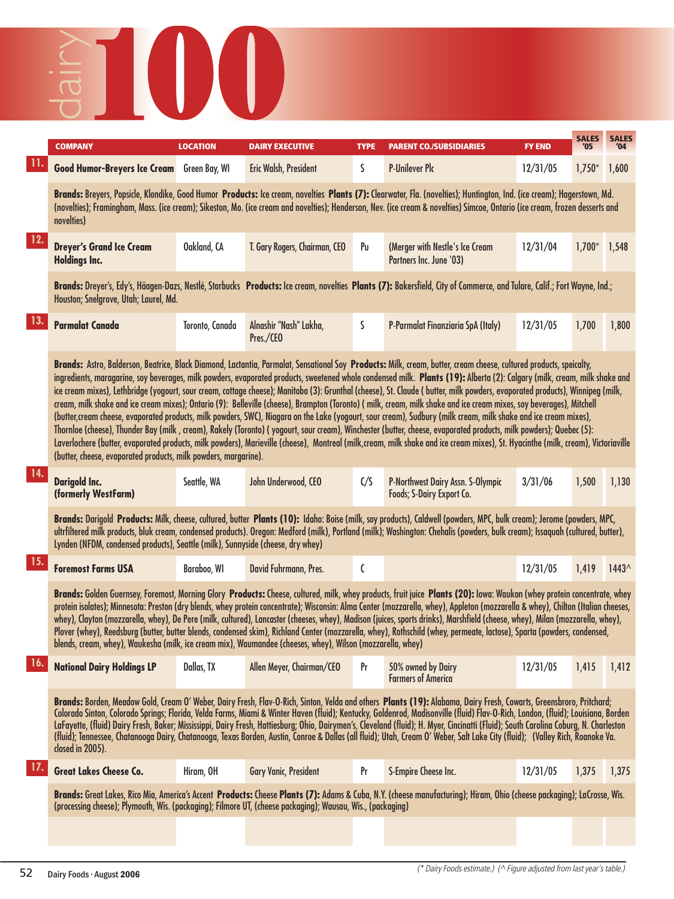

|     | <b>COMPANY</b>                                                                                                                                                                                                                                                                                                                                                                                                                                                                                                                                                                                                                                                                                                                                                                                                                                                                                                                                                                                                                                                                                                                                                                                                                                                                                         | <b>LOCATION</b> | <b>DAIRY EXECUTIVE</b>              | <b>TYPE</b> | <b>PARENT CO./SUBSIDIARIES</b>                                                                                                                                                                                                                                                                                                                                                                                                                                                                                                                                                                                                                                                                                                  | <b>FY END</b> | <b>SALES</b>   | <b>SALES</b> |
|-----|--------------------------------------------------------------------------------------------------------------------------------------------------------------------------------------------------------------------------------------------------------------------------------------------------------------------------------------------------------------------------------------------------------------------------------------------------------------------------------------------------------------------------------------------------------------------------------------------------------------------------------------------------------------------------------------------------------------------------------------------------------------------------------------------------------------------------------------------------------------------------------------------------------------------------------------------------------------------------------------------------------------------------------------------------------------------------------------------------------------------------------------------------------------------------------------------------------------------------------------------------------------------------------------------------------|-----------------|-------------------------------------|-------------|---------------------------------------------------------------------------------------------------------------------------------------------------------------------------------------------------------------------------------------------------------------------------------------------------------------------------------------------------------------------------------------------------------------------------------------------------------------------------------------------------------------------------------------------------------------------------------------------------------------------------------------------------------------------------------------------------------------------------------|---------------|----------------|--------------|
|     | <b>Good Humor-Breyers Ice Cream</b> Green Bay, WI                                                                                                                                                                                                                                                                                                                                                                                                                                                                                                                                                                                                                                                                                                                                                                                                                                                                                                                                                                                                                                                                                                                                                                                                                                                      |                 | Eric Walsh, President               | S.          | <b>P-Unilever Plc</b>                                                                                                                                                                                                                                                                                                                                                                                                                                                                                                                                                                                                                                                                                                           | 12/31/05      | $1,750*$       | 1,600        |
|     | novelties)                                                                                                                                                                                                                                                                                                                                                                                                                                                                                                                                                                                                                                                                                                                                                                                                                                                                                                                                                                                                                                                                                                                                                                                                                                                                                             |                 |                                     |             | Brands: Breyers, Popsicle, Klondike, Good Humor Products: Ice cream, novelties Plants (7): Clearwater, Fla. (novelties); Huntington, Ind. (ice cream); Hagerstown, Md.<br>(novelties); Framingham, Mass. (ice cream); Sikeston, Mo. (ice cream and novelties); Henderson, Nev. (ice cream & novelties) Simcoe, Ontario (ice cream, frozen desserts and                                                                                                                                                                                                                                                                                                                                                                          |               |                |              |
| 12. | <b>Dreyer's Grand Ice Cream</b><br><b>Holdings Inc.</b>                                                                                                                                                                                                                                                                                                                                                                                                                                                                                                                                                                                                                                                                                                                                                                                                                                                                                                                                                                                                                                                                                                                                                                                                                                                | Oakland, CA     | T. Gary Rogers, Chairman, CEO       | Pu          | (Merger with Nestle's Ice Cream<br>Partners Inc. June '03)                                                                                                                                                                                                                                                                                                                                                                                                                                                                                                                                                                                                                                                                      | 12/31/04      | $1,700*$ 1,548 |              |
|     | Houston; Snelgrove, Utah; Laurel, Md.                                                                                                                                                                                                                                                                                                                                                                                                                                                                                                                                                                                                                                                                                                                                                                                                                                                                                                                                                                                                                                                                                                                                                                                                                                                                  |                 |                                     |             | Brands: Dreyer's, Edy's, Häagen-Dazs, Nestlé, Starbucks Products: Ice cream, novelties Plants (7): Bakersfield, City of Commerce, and Tulare, Calif.; Fort Wayne, Ind.;                                                                                                                                                                                                                                                                                                                                                                                                                                                                                                                                                         |               |                |              |
| 13. | <b>Parmalat Canada</b>                                                                                                                                                                                                                                                                                                                                                                                                                                                                                                                                                                                                                                                                                                                                                                                                                                                                                                                                                                                                                                                                                                                                                                                                                                                                                 | Toronto, Canada | Alnashir "Nash" Lakha,<br>Pres./CEO | S           | P-Parmalat Finanziaria SpA (Italy)                                                                                                                                                                                                                                                                                                                                                                                                                                                                                                                                                                                                                                                                                              | 12/31/05      | 1,700          | 1,800        |
|     | Brands: Astro, Balderson, Beatrice, Black Diamond, Lactantia, Parmalat, Sensational Soy Products: Milk, cream, butter, cream cheese, cultured products, speicalty,<br>ingredients, maragarine, soy beverages, milk powders, evaporated products, sweetened whole condensed milk. Plants (19): Alberta (2): Calgary (milk, cream, milk shake and<br>ice cream mixes), Lethbridge (yogourt, sour cream, cottage cheese); Manitoba (3): Grunthal (cheese), St. Claude (butter, milk powders, evaporated products), Winnipeg (milk,<br>cream, milk shake and ice cream mixes); Ontario (9): Belleville (cheese), Brampton (Toronto) (milk, cream, milk shake and ice cream mixes, soy beverages), Mitchell<br>(butter, cream cheese, evaporated products, milk powders, SWC), Niagara on the Lake (yogourt, sour cream), Sudbury (milk cream, milk shake and ice cream mixes),<br>Thornloe (cheese), Thunder Bay (milk, cream), Rakely (Toronto) (yogourt, sour cream), Winchester (butter, cheese, evaporated products, milk powders); Quebec (5):<br>Laverlochere (butter, evaporated products, milk powders), Marieville (cheese), Montreal (milk,cream, milk shake and ice cream mixes), St. Hyacinthe (milk, cream), Victoriaville<br>(butter, cheese, evaporated products, milk powders, margarine). |                 |                                     |             |                                                                                                                                                                                                                                                                                                                                                                                                                                                                                                                                                                                                                                                                                                                                 |               |                |              |
| 14. | <b>Darigold Inc.</b><br>(formerly WestFarm)                                                                                                                                                                                                                                                                                                                                                                                                                                                                                                                                                                                                                                                                                                                                                                                                                                                                                                                                                                                                                                                                                                                                                                                                                                                            | Seattle, WA     | John Underwood, CEO                 | C/S         | P-Northwest Dairy Assn. S-Olympic<br>Foods; S-Dairy Export Co.                                                                                                                                                                                                                                                                                                                                                                                                                                                                                                                                                                                                                                                                  | 3/31/06       | 1,500          | 1,130        |
|     | Lynden (NFDM, condensed products), Seattle (milk), Sunnyside (cheese, dry whey)                                                                                                                                                                                                                                                                                                                                                                                                                                                                                                                                                                                                                                                                                                                                                                                                                                                                                                                                                                                                                                                                                                                                                                                                                        |                 |                                     |             | Brands: Darigold Products: Milk, cheese, cultured, butter Plants (10): Idaho: Boise (milk, soy products), Caldwell (powders, MPC, bulk cream); Jerome (powders, MPC,<br>ultrfiltered milk products, bluk cream, condensed products). Oregon: Medford (milk), Portland (milk); Washington: Chehalis (powders, bulk cream); Issaquah (cultured, butter),                                                                                                                                                                                                                                                                                                                                                                          |               |                |              |
| 15. | <b>Foremost Farms USA</b>                                                                                                                                                                                                                                                                                                                                                                                                                                                                                                                                                                                                                                                                                                                                                                                                                                                                                                                                                                                                                                                                                                                                                                                                                                                                              | Baraboo, WI     | David Fuhrmann, Pres.               | C           |                                                                                                                                                                                                                                                                                                                                                                                                                                                                                                                                                                                                                                                                                                                                 | 12/31/05      | 1,419          | $1443^$      |
|     | blends, cream, whey), Waukesha (milk, ice cream mix), Waumandee (cheeses, whey), Wilson (mozzarella, whey)                                                                                                                                                                                                                                                                                                                                                                                                                                                                                                                                                                                                                                                                                                                                                                                                                                                                                                                                                                                                                                                                                                                                                                                             |                 |                                     |             | Brands: Golden Guernsey, Foremost, Morning Glory Products: Cheese, cultured, milk, whey products, fruit juice Plants (20): Iowa: Waukon (whey protein concentrate, whey<br>protein isolates); Minnesota: Preston (dry blends, whey protein concentrate); Wisconsin: Alma Center (mozzarella, whey), Appleton (mozzarella & whey), Chilton (Italian cheeses,<br>whey), Clayton (mozzarella, whey), De Pere (milk, cultured), Lancaster (cheeses, whey), Madison (juices, sports drinks), Marshfield (cheese, whey), Milan (mozzarella, whey),<br>Plover (whey), Reedsburg (butter, butter blends, condensed skim), Richland Center (mozzarella, whey), Rothschild (whey, permeate, lactose), Sparta (powders, condensed,         |               |                |              |
| 10. | <b>National Dairy Holdings LP</b>                                                                                                                                                                                                                                                                                                                                                                                                                                                                                                                                                                                                                                                                                                                                                                                                                                                                                                                                                                                                                                                                                                                                                                                                                                                                      | Dallas, TX      | Allen Meyer, Chairman/CEO           | Pr          | 50% owned by Dairy<br><b>Farmers of America</b>                                                                                                                                                                                                                                                                                                                                                                                                                                                                                                                                                                                                                                                                                 | 12/31/05      | 1,415          | 1,412        |
|     | closed in 2005).                                                                                                                                                                                                                                                                                                                                                                                                                                                                                                                                                                                                                                                                                                                                                                                                                                                                                                                                                                                                                                                                                                                                                                                                                                                                                       |                 |                                     |             | Brands: Borden, Meadow Gold, Cream O' Weber, Dairy Fresh, Flav-O-Rich, Sinton, Velda and others Plants (19): Alabama, Dairy Fresh, Cowarts, Greensbroro, Pritchard;<br>Colorado Sinton, Colorado Springs; Florida, Velda Farms, Miami & Winter Haven (fluid); Kentucky, Goldenrod, Madisonville (fluid) Flav-O-Rich, London, (fluid); Louisiana, Borden<br>LaFayette, (fluid) Dairy Fresh, Baker; Mississippi, Dairy Fresh, Hattiesburg; Ohio, Dairymen's, Cleveland (fluid); H. Myer, Cincinatti (Fluid); South Carolina Coburg, N. Charleston<br>(fluid); Tennessee, Chatanooga Dairy, Chatanooga, Texas Borden, Austin, Conroe & Dallas (all fluid); Utah, Cream O' Weber, Salt Lake City (fluid); (Valley Rich, Roanoke Va. |               |                |              |
| 17. | <b>Great Lakes Cheese Co.</b>                                                                                                                                                                                                                                                                                                                                                                                                                                                                                                                                                                                                                                                                                                                                                                                                                                                                                                                                                                                                                                                                                                                                                                                                                                                                          | Hiram, OH       | <b>Gary Vanic, President</b>        | Pr          | S-Empire Cheese Inc.                                                                                                                                                                                                                                                                                                                                                                                                                                                                                                                                                                                                                                                                                                            | 12/31/05      | 1,375          | 1,375        |
|     | (processing cheese); Plymouth, Wis. (packaging); Filmore UT, (cheese packaging); Wausau, Wis., (packaging)                                                                                                                                                                                                                                                                                                                                                                                                                                                                                                                                                                                                                                                                                                                                                                                                                                                                                                                                                                                                                                                                                                                                                                                             |                 |                                     |             | Brands: Great Lakes, Rico Mia, America's Accent Products: Cheese Plants (7): Adams & Cuba, N.Y. (cheese manufacturing); Hiram, Ohio (cheese packaging); LaCrosse, Wis.                                                                                                                                                                                                                                                                                                                                                                                                                                                                                                                                                          |               |                |              |
|     |                                                                                                                                                                                                                                                                                                                                                                                                                                                                                                                                                                                                                                                                                                                                                                                                                                                                                                                                                                                                                                                                                                                                                                                                                                                                                                        |                 |                                     |             |                                                                                                                                                                                                                                                                                                                                                                                                                                                                                                                                                                                                                                                                                                                                 |               |                |              |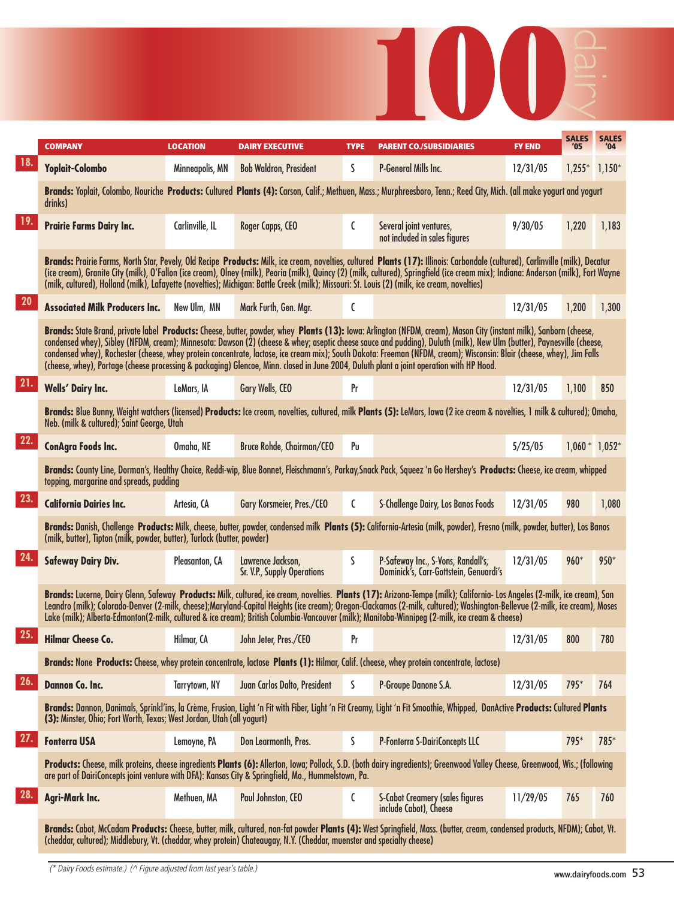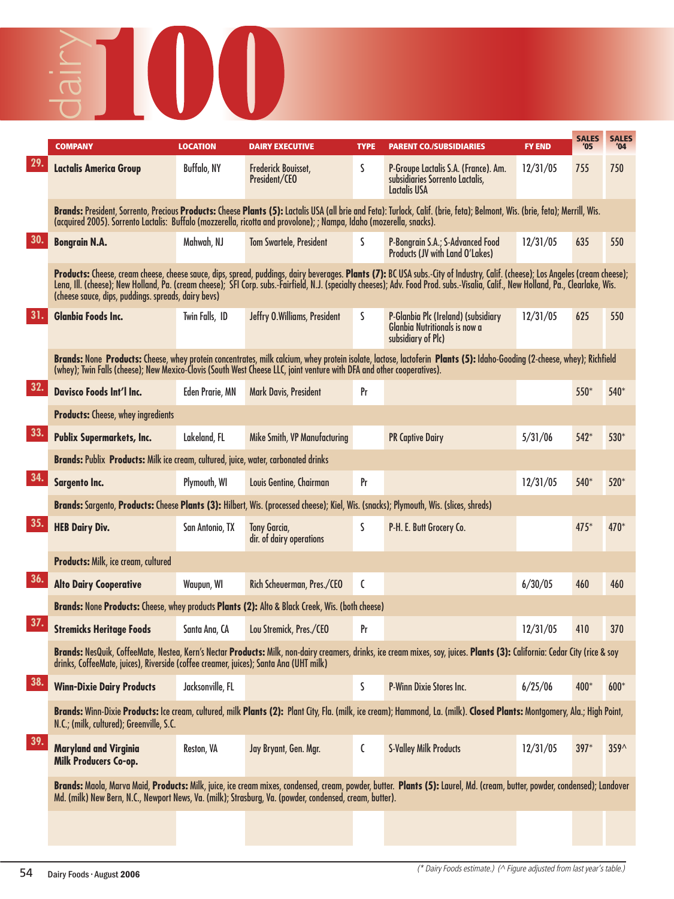## **COMPANY LOCATION DAIRY EXECUTIVE TYPE PARENT CO./SUBSIDIARIES FY END '05 '04** dairy

|     | <b>COMPANY</b>                                                                                                                                                                                                                                                                                    | <b>LOCATION</b>        | <b>DAIRY EXECUTIVE</b>                          | <b>TYPE</b> | <b>PARENT CO./SUBSIDIARIES</b>                                                                                                                                                                                                                                                                                                                                        | <b>FY END</b> | <b>SALES</b><br>'05 | <b>SALES</b><br>'04 |
|-----|---------------------------------------------------------------------------------------------------------------------------------------------------------------------------------------------------------------------------------------------------------------------------------------------------|------------------------|-------------------------------------------------|-------------|-----------------------------------------------------------------------------------------------------------------------------------------------------------------------------------------------------------------------------------------------------------------------------------------------------------------------------------------------------------------------|---------------|---------------------|---------------------|
| 29. | <b>Lactalis America Group</b>                                                                                                                                                                                                                                                                     | Buffalo, NY            | Frederick Bouisset,<br>President/CEO            | S           | P-Groupe Lactalis S.A. (France). Am.<br>subsidiaries Sorrento Lactalis,<br>Lactalis USA                                                                                                                                                                                                                                                                               | 12/31/05      | 755                 | 750                 |
|     | (acquired 2005). Sorrento Lactalis: Buffalo (mozzerella, ricotta and provolone); ; Nampa, Idaho (mozerella, snacks).                                                                                                                                                                              |                        |                                                 |             | Brands: President, Sorrento, Precious Products: Cheese Plants (5): Lactalis USA (all brie and Feta): Turlock, Calif. (brie, feta); Belmont, Wis. (brie, feta); Merrill, Wis.                                                                                                                                                                                          |               |                     |                     |
| 30. | <b>Bongrain N.A.</b>                                                                                                                                                                                                                                                                              | Mahwah, NJ             | <b>Tom Swartele, President</b>                  | S           | P-Bongrain S.A.; S-Advanced Food<br><b>Products (JV with Land O'Lakes)</b>                                                                                                                                                                                                                                                                                            | 12/31/05      | 635                 | 550                 |
|     | (cheese sauce, dips, puddings. spreads, dairy bevs)                                                                                                                                                                                                                                               |                        |                                                 |             | Products: Cheese, cream cheese, cheese sauce, dips, spread, puddings, dairy beverages. Plants (7): BC USA subs.-City of Industry, Calif. (cheese); Los Angeles (cream cheese);<br>Lena, Ill. (cheese); New Holland, Pa. (cream cheese); SFI Corp. subs. Fairfield, N.J. (specialty cheeses); Adv. Food Prod. subs. Visalia, Calif., New Holland, Pa., Clearlake, Wis. |               |                     |                     |
|     | <b>Glanbia Foods Inc.</b>                                                                                                                                                                                                                                                                         | Twin Falls, ID         | Jeffry O.Williams, President                    | S           | P-Glanbia Plc (Ireland) (subsidiary<br><b>Glanbia Nutritionals is now a</b><br>subsidiary of Plc)                                                                                                                                                                                                                                                                     | 12/31/05      | 625                 | 550                 |
|     | Brands: None Products: Cheese, whey protein concentrates, milk calcium, whey protein isolate, lactose, lactoferin Plants (5): Idaho-Gooding (2-cheese, whey); Richfield<br>(whey); Twin Falls (cheese); New Mexico-Clovis (South West Cheese LLC, joint venture with DFA and other cooperatives). |                        |                                                 |             |                                                                                                                                                                                                                                                                                                                                                                       |               |                     |                     |
| 32. | <b>Davisco Foods Int'l Inc.</b>                                                                                                                                                                                                                                                                   | <b>Eden Prarie, MN</b> | Mark Davis, President                           | Pr          |                                                                                                                                                                                                                                                                                                                                                                       |               | 550*                | 540*                |
|     | <b>Products:</b> Cheese, whey ingredients                                                                                                                                                                                                                                                         |                        |                                                 |             |                                                                                                                                                                                                                                                                                                                                                                       |               |                     |                     |
| 33. | <b>Publix Supermarkets, Inc.</b>                                                                                                                                                                                                                                                                  | Lakeland, FL           | <b>Mike Smith, VP Manufacturing</b>             |             | <b>PR Captive Dairy</b>                                                                                                                                                                                                                                                                                                                                               | 5/31/06       | 542*                | 530*                |
|     | Brands: Publix Products: Milk ice cream, cultured, juice, water, carbonated drinks                                                                                                                                                                                                                |                        |                                                 |             |                                                                                                                                                                                                                                                                                                                                                                       |               |                     |                     |
| 34. | Sargento Inc.                                                                                                                                                                                                                                                                                     | Plymouth, WI           | Louis Gentine, Chairman                         | Pr          |                                                                                                                                                                                                                                                                                                                                                                       | 12/31/05      | 540*                | 520*                |
|     | Brands: Sargento, Products: Cheese Plants (3): Hilbert, Wis. (processed cheese); Kiel, Wis. (snacks); Plymouth, Wis. (slices, shreds)                                                                                                                                                             |                        |                                                 |             |                                                                                                                                                                                                                                                                                                                                                                       |               |                     |                     |
| 35. | <b>HEB Dairy Div.</b>                                                                                                                                                                                                                                                                             | San Antonio, TX        | <b>Tony Garcia,</b><br>dir. of dairy operations | S           | P-H. E. Butt Grocery Co.                                                                                                                                                                                                                                                                                                                                              |               | $475*$              | 470*                |
|     | <b>Products: Milk, ice cream, cultured</b>                                                                                                                                                                                                                                                        |                        |                                                 |             |                                                                                                                                                                                                                                                                                                                                                                       |               |                     |                     |
| 36. | <b>Alto Dairy Cooperative</b>                                                                                                                                                                                                                                                                     | Waupun, WI             | Rich Scheuerman, Pres./CEO                      | C           |                                                                                                                                                                                                                                                                                                                                                                       | 6/30/05       | 460                 | 460                 |
|     | Brands: None Products: Cheese, whey products Plants (2): Alto & Black Creek, Wis. (both cheese)                                                                                                                                                                                                   |                        |                                                 |             |                                                                                                                                                                                                                                                                                                                                                                       |               |                     |                     |
| 37. | <b>Stremicks Heritage Foods</b>                                                                                                                                                                                                                                                                   | Santa Ana, CA          | Lou Stremick, Pres./CEO                         | Pr          |                                                                                                                                                                                                                                                                                                                                                                       | 12/31/05      | 410                 | 370                 |
|     | drinks, CotteeMate, juices), Riverside (cottee creamer, juices); Santa Ana (UHT milk)                                                                                                                                                                                                             |                        |                                                 |             | Brands: NesQuik, CoffeeMate, Nestea, Kern's Nectar Products: Milk, non-dairy creamers, drinks, ice cream mixes, soy, juices. Plants (3): California: Cedar City (rice & soy                                                                                                                                                                                           |               |                     |                     |
| 38. | <b>Winn-Dixie Dairy Products</b>                                                                                                                                                                                                                                                                  | Jacksonville, FL       |                                                 | S           | P-Winn Dixie Stores Inc.                                                                                                                                                                                                                                                                                                                                              | 6/25/06       | 400*                | $600*$              |
|     | N.C.; (milk, cultured); Greenville, S.C.                                                                                                                                                                                                                                                          |                        |                                                 |             | Brands: Winn-Dixie Products: Ice cream, cultured, milk Plants (2): Plant City, Fla. (milk, ice cream); Hammond, La. (milk). Closed Plants: Montgomery, Ala.; High Point,                                                                                                                                                                                              |               |                     |                     |
| 39. | <b>Maryland and Virginia</b><br>Milk Producers Co-op.                                                                                                                                                                                                                                             | Reston, VA             | Jay Bryant, Gen. Mgr.                           | C           | <b>S-Valley Milk Products</b>                                                                                                                                                                                                                                                                                                                                         | 12/31/05      | $397*$              | $359^$              |
|     | Md. (milk) New Bern, N.C., Newport News, Va. (milk); Strasburg, Va. (powder, condensed, cream, butter).                                                                                                                                                                                           |                        |                                                 |             | Brands: Maola, Marva Maid, Products: Milk, juice, ice cream mixes, condensed, cream, powder, butter. Plants (5): Laurel, Md. (cream, butter, powder, condensed); Landover                                                                                                                                                                                             |               |                     |                     |
|     |                                                                                                                                                                                                                                                                                                   |                        |                                                 |             |                                                                                                                                                                                                                                                                                                                                                                       |               |                     |                     |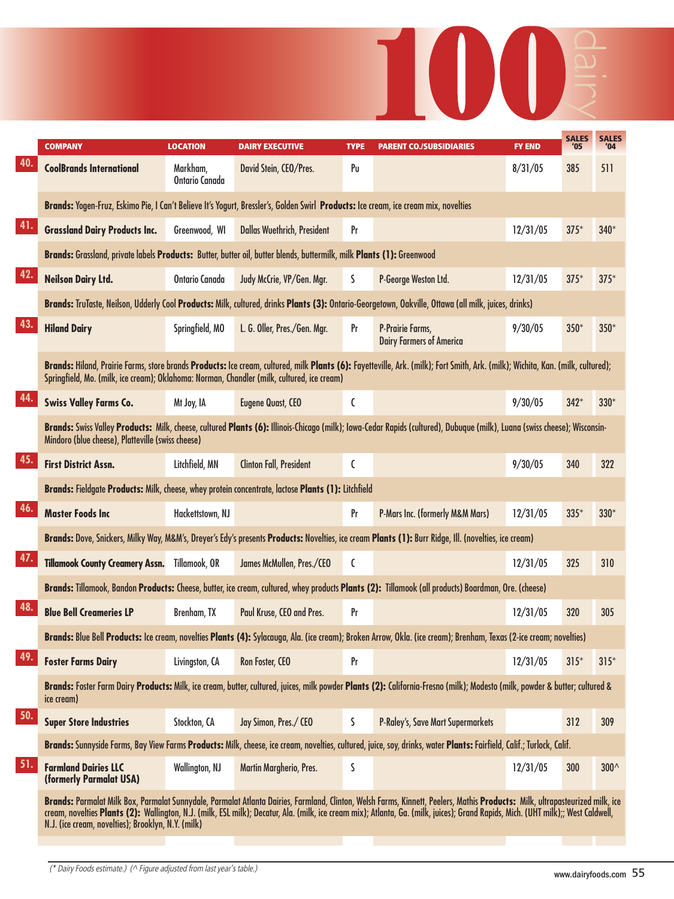

|                                                                                                                                                                                                                                                            | <b>COMPANY</b>                                                                                                                      | <b>LOCATION</b>            | <b>DAIRY EXECUTIVE</b>             | <b>TYPE</b> | <b>PARENT CO./SUBSIDIARIES</b>                                                                                                                                                                                                                                                                                                                                    | <b>FY END</b> | <b>SALES</b><br>'05 | <b>SALES</b><br>'04 |
|------------------------------------------------------------------------------------------------------------------------------------------------------------------------------------------------------------------------------------------------------------|-------------------------------------------------------------------------------------------------------------------------------------|----------------------------|------------------------------------|-------------|-------------------------------------------------------------------------------------------------------------------------------------------------------------------------------------------------------------------------------------------------------------------------------------------------------------------------------------------------------------------|---------------|---------------------|---------------------|
| 40.                                                                                                                                                                                                                                                        | <b>CoolBrands International</b>                                                                                                     | Markham,<br>Ontario Canada | David Stein, CEO/Pres.             | Pu          |                                                                                                                                                                                                                                                                                                                                                                   | 8/31/05       | 385                 | 511                 |
|                                                                                                                                                                                                                                                            | Brands: Yogen-Fruz, Eskimo Pie, I Can't Believe It's Yogurt, Bressler's, Golden Swirl Products: Ice cream, ice cream mix, novelties |                            |                                    |             |                                                                                                                                                                                                                                                                                                                                                                   |               |                     |                     |
| 41.                                                                                                                                                                                                                                                        | <b>Grassland Dairy Products Inc.</b>                                                                                                | Greenwood, WI              | <b>Dallas Wuethrich, President</b> | Pr          |                                                                                                                                                                                                                                                                                                                                                                   | 12/31/05      | $375*$              | $340*$              |
|                                                                                                                                                                                                                                                            | Brands: Grassland, private labels Products: Butter, butter oil, butter blends, buttermilk, milk Plants (1): Greenwood               |                            |                                    |             |                                                                                                                                                                                                                                                                                                                                                                   |               |                     |                     |
| 42.                                                                                                                                                                                                                                                        | <b>Neilson Dairy Ltd.</b>                                                                                                           | <b>Ontario Canada</b>      | Judy McCrie, VP/Gen. Mgr.          | S           | P-George Weston Ltd.                                                                                                                                                                                                                                                                                                                                              | 12/31/05      | $375*$              | $375*$              |
|                                                                                                                                                                                                                                                            |                                                                                                                                     |                            |                                    |             | Brands: TruTaste, Neilson, Udderly Cool Products: Milk, cultured, drinks Plants (3): Ontario-Georgetown, Oakville, Ottawa (all milk, juices, drinks)                                                                                                                                                                                                              |               |                     |                     |
| 43.<br>44.<br>45.<br>46.<br>47.<br>48.<br>49.<br>50.<br>51.                                                                                                                                                                                                | <b>Hiland Dairy</b>                                                                                                                 | Springfield, MO            | L. G. Oller, Pres./Gen. Mgr.       | Pr          | P-Prairie Farms,<br><b>Dairy Farmers of America</b>                                                                                                                                                                                                                                                                                                               | 9/30/05       | $350*$              | $350*$              |
|                                                                                                                                                                                                                                                            | Springfield, Mo. (milk, ice cream); Oklahoma: Norman, Chandler (milk, cultured, ice cream)                                          |                            |                                    |             | Brands: Hiland, Prairie Farms, store brands Products: Ice cream, cultured, milk Plants (6): Fayetteville, Ark. (milk); Fort Smith, Ark. (milk); Wichita, Kan. (milk, cultured);                                                                                                                                                                                   |               |                     |                     |
|                                                                                                                                                                                                                                                            | <b>Swiss Valley Farms Co.</b>                                                                                                       | Mt Joy, IA                 | <b>Eugene Quast, CEO</b>           | C           |                                                                                                                                                                                                                                                                                                                                                                   | 9/30/05       | $342*$              | $330*$              |
|                                                                                                                                                                                                                                                            | Mindoro (blue cheese), Platteville (swiss cheese)                                                                                   |                            |                                    |             | Brands: Swiss Valley Products: Milk, cheese, cultured Plants (6): Illinois-Chicago (milk); Iowa-Cedar Rapids (cultured), Dubuque (milk), Luana (swiss cheese); Wisconsin-                                                                                                                                                                                         |               |                     |                     |
|                                                                                                                                                                                                                                                            | <b>First District Assn.</b>                                                                                                         | Litchfield, MN             | <b>Clinton Fall, President</b>     | C           |                                                                                                                                                                                                                                                                                                                                                                   | 9/30/05       | 340                 | 322                 |
|                                                                                                                                                                                                                                                            |                                                                                                                                     |                            |                                    |             |                                                                                                                                                                                                                                                                                                                                                                   |               |                     |                     |
|                                                                                                                                                                                                                                                            | <b>Master Foods Inc</b>                                                                                                             | Hackettstown, NJ           |                                    | Pr          | <b>P-Mars Inc. (formerly M&amp;M Mars)</b>                                                                                                                                                                                                                                                                                                                        | 12/31/05      | $335*$              | $330*$              |
| Brands: Fieldgate Products: Milk, cheese, whey protein concentrate, lactose Plants (1): Litchfield<br>Brands: Dove, Snickers, Milky Way, M&M's, Dreyer's Edy's presents Products: Novelties, ice cream Plants (1): Burr Ridge, Ill. (novelties, ice cream) |                                                                                                                                     |                            |                                    |             |                                                                                                                                                                                                                                                                                                                                                                   |               |                     |                     |
|                                                                                                                                                                                                                                                            | <b>Tillamook County Creamery Assn.</b>                                                                                              | Tillamook, OR              | James McMullen, Pres./CEO          | C           |                                                                                                                                                                                                                                                                                                                                                                   | 12/31/05      | 325                 | 310                 |
| <b>Foster Farms Dairy</b><br>ice cream)                                                                                                                                                                                                                    |                                                                                                                                     |                            |                                    |             | Brands: Tillamook, Bandon Products: Cheese, butter, ice cream, cultured, whey products Plants (2): Tillamook (all products) Boardman, Ore. (cheese)                                                                                                                                                                                                               |               |                     |                     |
|                                                                                                                                                                                                                                                            | <b>Blue Bell Creameries LP</b>                                                                                                      | Brenham, TX                | Paul Kruse, CEO and Pres.          | Pr          |                                                                                                                                                                                                                                                                                                                                                                   | 12/31/05      | 320                 | 305                 |
|                                                                                                                                                                                                                                                            |                                                                                                                                     |                            |                                    |             | Brands: Blue Bell Products: Ice cream, novelties Plants (4): Sylacauga, Ala. (ice cream); Broken Arrow, Okla. (ice cream); Brenham, Texas (2-ice cream; novelties)                                                                                                                                                                                                |               |                     |                     |
|                                                                                                                                                                                                                                                            |                                                                                                                                     | Livingston, CA             | Ron Foster, CEO                    | Pr          |                                                                                                                                                                                                                                                                                                                                                                   | 12/31/05      | $315*$              | $315*$              |
|                                                                                                                                                                                                                                                            |                                                                                                                                     |                            |                                    |             | Brands: Foster Farm Dairy Products: Milk, ice cream, butter, cultured, juices, milk powder Plants (2): California-Fresno (milk); Modesto (milk, powder & butter; cultured &                                                                                                                                                                                       |               |                     |                     |
|                                                                                                                                                                                                                                                            | <b>Super Store Industries</b>                                                                                                       | Stockton, CA               | Jay Simon, Pres./ CEO              | S           | P-Raley's, Save Mart Supermarkets                                                                                                                                                                                                                                                                                                                                 |               | 312                 | 309                 |
|                                                                                                                                                                                                                                                            |                                                                                                                                     |                            |                                    |             | Brands: Sunnyside Farms, Bay View Farms Products: Milk, cheese, ice cream, novelties, cultured, juice, soy, drinks, water Plants: Fairfield, Calif.; Turlock, Calif.                                                                                                                                                                                              |               |                     |                     |
|                                                                                                                                                                                                                                                            | <b>Farmland Dairies LLC</b><br>(formerly Parmalat USA)                                                                              | Wallington, NJ             | Martin Margherio, Pres.            | ς           |                                                                                                                                                                                                                                                                                                                                                                   | 12/31/05      | 300                 | $300^{\circ}$       |
|                                                                                                                                                                                                                                                            | N.J. (ice cream, novelties); Brooklyn, N.Y. (milk)                                                                                  |                            |                                    |             | Brands: Parmalat Milk Box, Parmalat Sunnydale, Parmalat Atlanta Dairies, Farmland, Clinton, Welsh Farms, Kinnett, Peelers, Mathis Products: Milk, ultrapasteurized milk, ice<br>cream, novelties Plants (2): Wallington, N.J. (milk, ESL milk); Decatur, Ala. (milk, ice cream mix); Atlanta, Ga. (milk, juices); Grand Rapids, Mich. (UHT milk);; West Caldwell, |               |                     |                     |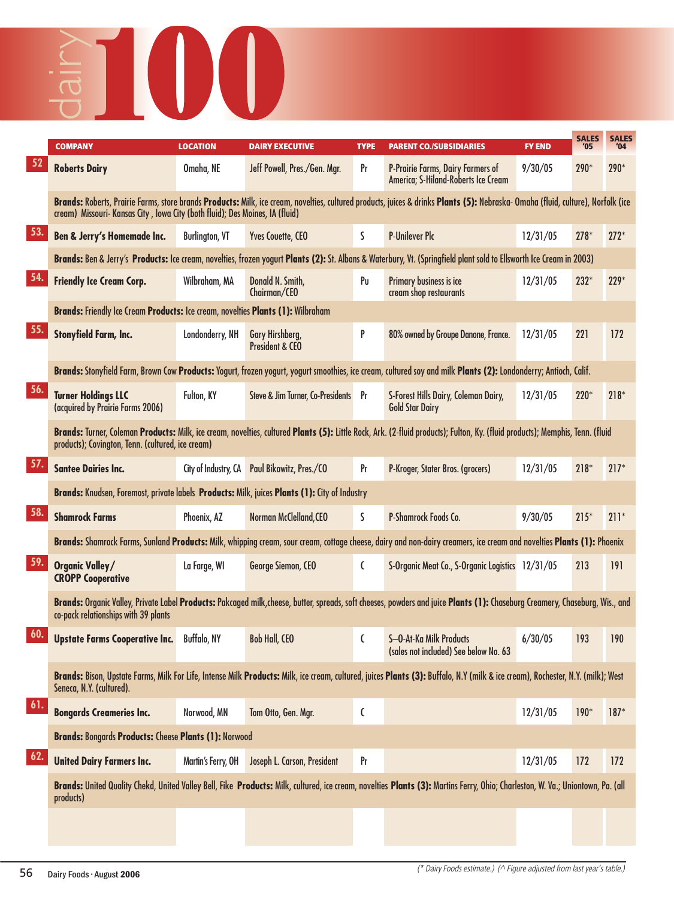## **COMPANY LOCATION DAIRY EXECUTIVE TYPE PARENT CO./SUBSIDIARIES FY END '05 '04** dairy

|     | <b>COMPANY</b>                                                                                                                                                                                                                    | <b>LOCATION</b>       | <b>DAIRY EXECUTIVE</b>                        | <b>TYPE</b> | <b>PARENT CO./SUBSIDIARIES</b>                                                                                                                                                   | <b>FY END</b> | <b>SALES</b><br>'05 | <b>SALES</b><br>'04 |  |
|-----|-----------------------------------------------------------------------------------------------------------------------------------------------------------------------------------------------------------------------------------|-----------------------|-----------------------------------------------|-------------|----------------------------------------------------------------------------------------------------------------------------------------------------------------------------------|---------------|---------------------|---------------------|--|
| 52  | <b>Roberts Dairy</b>                                                                                                                                                                                                              | Omaha, NE             | Jeff Powell, Pres./Gen. Mgr.                  | Pr          | P-Prairie Farms, Dairy Farmers of<br>America; S-Hiland-Roberts Ice Cream                                                                                                         | 9/30/05       | $290*$              | 290*                |  |
|     | cream) Missouri- Kansas City, Iowa City (both fluid); Des Moines, IA (fluid)                                                                                                                                                      |                       |                                               |             | Brands: Roberts, Prairie Farms, store brands Products: Milk, ice cream, novelties, cultured products, juices & drinks Plants (5): Nebraska- Omaha (fluid, culture), Norfolk (ice |               |                     |                     |  |
| 53. | <b>Ben &amp; Jerry's Homemade Inc.</b>                                                                                                                                                                                            | <b>Burlington, VT</b> | <b>Yves Couette, CEO</b>                      | S           | <b>P-Unilever Plc</b>                                                                                                                                                            | 12/31/05      | $278*$              | $272*$              |  |
|     |                                                                                                                                                                                                                                   |                       |                                               |             | Brands: Ben & Jerry's Products: Ice cream, novelties, frozen yogurt Plants (2): St. Albans & Waterbury, Vt. (Springfield plant sold to Ellsworth Ice Cream in 2003)              |               |                     |                     |  |
| 54. | <b>Friendly Ice Cream Corp.</b>                                                                                                                                                                                                   | Wilbraham, MA         | Donald N. Smith,<br>Chairman/CEO              | Pu          | Primary business is ice<br>cream shop restaurants                                                                                                                                | 12/31/05      | $232*$              | $229*$              |  |
|     | Brands: Friendly Ice Cream Products: Ice cream, novelties Plants (1): Wilbraham                                                                                                                                                   |                       |                                               |             |                                                                                                                                                                                  |               |                     |                     |  |
| 55. | <b>Stonyfield Farm, Inc.</b>                                                                                                                                                                                                      | Londonderry, NH       | Gary Hirshberg,<br><b>President &amp; CEO</b> | P           | 80% owned by Groupe Danone, France.                                                                                                                                              | 12/31/05      | 221                 | 172                 |  |
|     |                                                                                                                                                                                                                                   |                       |                                               |             | Brands: Stonyfield Farm, Brown Cow Products: Yogurt, frozen yogurt, yogurt smoothies, ice cream, cultured soy and milk Plants (2): Londonderry; Antioch, Calif.                  |               |                     |                     |  |
| 56. | <b>Turner Holdings LLC</b><br>(acquired by Prairie Farms 2006)                                                                                                                                                                    | Fulton, KY            | Steve & Jim Turner, Co-Presidents Pr          |             | S-Forest Hills Dairy, Coleman Dairy,<br><b>Gold Star Dairy</b>                                                                                                                   | 12/31/05      | $220*$              | $218*$              |  |
|     | Brands: Turner, Coleman Products: Milk, ice cream, novelties, cultured Plants (5): Little Rock, Ark. (2-fluid products); Fulton, Ky. (fluid products); Memphis, Tenn. (fluid<br>products); Covington, Tenn. (cultured, ice cream) |                       |                                               |             |                                                                                                                                                                                  |               |                     |                     |  |
| 57. | <b>Santee Dairies Inc.</b>                                                                                                                                                                                                        | City of Industry, CA  | Paul Bikowitz, Pres./CO                       | Pr          | P-Kroger, Stater Bros. (grocers)                                                                                                                                                 | 12/31/05      | $218*$              | $217*$              |  |
|     | Brands: Knudsen, Foremost, private labels Products: Milk, juices Plants (1): City of Industry                                                                                                                                     |                       |                                               |             |                                                                                                                                                                                  |               |                     |                     |  |
| 58. | <b>Shamrock Farms</b>                                                                                                                                                                                                             | Phoenix, AZ           | Norman McClelland, CEO                        | S           | P-Shamrock Foods Co.                                                                                                                                                             | 9/30/05       | $215*$              | $211*$              |  |
|     |                                                                                                                                                                                                                                   |                       |                                               |             | Brands: Shamrock Farms, Sunland Products: Milk, whipping cream, sour cream, cottage cheese, dairy and non-dairy creamers, ice cream and novelties Plants (1): Phoenix            |               |                     |                     |  |
| 59. | <b>Organic Valley/</b><br><b>CROPP Cooperative</b>                                                                                                                                                                                | La Farge, WI          | George Siemon, CEO                            | C           | S-Organic Meat Co., S-Organic Logistics 12/31/05                                                                                                                                 |               | 213                 | 191                 |  |
|     | co-pack relationships with 39 plants                                                                                                                                                                                              |                       |                                               |             | Brands: Organic Valley, Private Label Products: Pakcaged milk, cheese, butter, spreads, soft cheeses, powders and juice Plants (1): Chaseburg Creamery, Chaseburg, Wis., and     |               |                     |                     |  |
| 60. | <b>Upstate Farms Cooperative Inc.</b>                                                                                                                                                                                             | Buffalo, NY           | <b>Bob Hall, CEO</b>                          | C           | S-O-At-Ka Milk Products<br>(sales not included) See below No. 63                                                                                                                 | 6/30/05       | 193                 | 190                 |  |
|     | Seneca, N.Y. (cultured).                                                                                                                                                                                                          |                       |                                               |             | Brands: Bison, Upstate Farms, Milk For Life, Intense Milk Products: Milk, ice cream, cultured, juices Plants (3): Buffalo, N.Y (milk & ice cream), Rochester, N.Y. (milk); West  |               |                     |                     |  |
| 61. | <b>Bongards Creameries Inc.</b>                                                                                                                                                                                                   | Norwood, MN           | Tom Otto, Gen. Mgr.                           | C           |                                                                                                                                                                                  | 12/31/05      | $190*$              | $187*$              |  |
|     | <b>Brands: Bongards Products: Cheese Plants (1): Norwood</b>                                                                                                                                                                      |                       |                                               |             |                                                                                                                                                                                  |               |                     |                     |  |
| 62. | <b>United Dairy Farmers Inc.</b>                                                                                                                                                                                                  | Martin's Ferry, OH    | Joseph L. Carson, President                   | Pr          |                                                                                                                                                                                  | 12/31/05      | 172                 | 172                 |  |
|     | products)                                                                                                                                                                                                                         |                       |                                               |             | Brands: United Quality Chekd, United Valley Bell, Fike Products: Milk, cultured, ice cream, novelties Plants (3): Martins Ferry, Ohio; Charleston, W. Va.; Uniontown, Pa. (all   |               |                     |                     |  |
|     |                                                                                                                                                                                                                                   |                       |                                               |             |                                                                                                                                                                                  |               |                     |                     |  |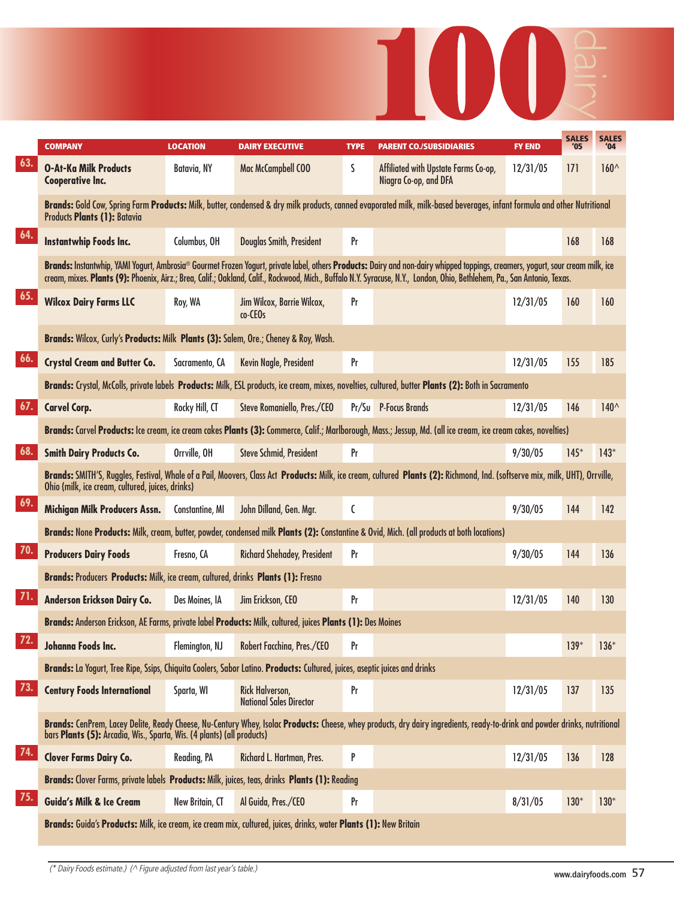|                          |                                                                                                                            |                 |                                                   |             | <b>IOD</b>                                                                                                                                                                                                                                                                                                                                                  |               |                     |                     |
|--------------------------|----------------------------------------------------------------------------------------------------------------------------|-----------------|---------------------------------------------------|-------------|-------------------------------------------------------------------------------------------------------------------------------------------------------------------------------------------------------------------------------------------------------------------------------------------------------------------------------------------------------------|---------------|---------------------|---------------------|
|                          | <b>COMPANY</b>                                                                                                             | <b>LOCATION</b> | <b>DAIRY EXECUTIVE</b>                            | <b>TYPE</b> | <b>PARENT CO./SUBSIDIARIES</b>                                                                                                                                                                                                                                                                                                                              | <b>FY END</b> | <b>SALES</b><br>'05 | <b>SALES</b><br>'04 |
| 63.                      | <b>O-At-Ka Milk Products</b><br><b>Cooperative Inc.</b>                                                                    | Batavia, NY     | Mac McCampbell COO                                | S           | Affiliated with Upstate Farms Co-op,<br>Niagra Co-op, and DFA                                                                                                                                                                                                                                                                                               | 12/31/05      | 171                 | $160^{\wedge}$      |
|                          | <b>Products Plants (1): Batavia</b>                                                                                        |                 |                                                   |             | Brands: Gold Cow, Spring Farm Products: Milk, butter, condensed & dry milk products, canned evaporated milk, milk-based beverages, infant formula and other Nutritional                                                                                                                                                                                     |               |                     |                     |
| 64.                      | Instantwhip Foods Inc.                                                                                                     | Columbus, OH    | Douglas Smith, President                          | Pr          |                                                                                                                                                                                                                                                                                                                                                             |               | 168                 | 168                 |
|                          |                                                                                                                            |                 |                                                   |             | Brands: Instantwhip, YAMI Yogurt, Ambrosia® Gourmet Frozen Yogurt, private label, others Products: Dairy and non-dairy whipped toppings, creamers, yogurt, sour cream milk, ice<br>cream, mixes. Plants (9): Phoenix, Airz.; Brea, Calif.; Oakland, Calif., Rockwood, Mich., Buffalo N.Y. Syracuse, N.Y., London, Ohio, Bethlehem, Pa., San Antonio, Texas. |               |                     |                     |
| 65.                      | <b>Wilcox Dairy Farms LLC</b>                                                                                              | Roy, WA         | Jim Wilcox, Barrie Wilcox,<br>co-CEOs             | Pr          |                                                                                                                                                                                                                                                                                                                                                             | 12/31/05      | 160                 | 160                 |
|                          | Brands: Wilcox, Curly's Products: Milk Plants (3): Salem, Ore.; Cheney & Roy, Wash.                                        |                 |                                                   |             |                                                                                                                                                                                                                                                                                                                                                             |               |                     |                     |
| 66.                      | <b>Crystal Cream and Butter Co.</b>                                                                                        | Sacramento, CA  | Kevin Nagle, President                            | Pr          |                                                                                                                                                                                                                                                                                                                                                             | 12/31/05      | 155                 | 185                 |
|                          |                                                                                                                            |                 |                                                   |             | Brands: Crystal, McColls, private labels Products: Milk, ESL products, ice cream, mixes, novelties, cultured, butter Plants (2): Both in Sacramento                                                                                                                                                                                                         |               |                     |                     |
| 67.                      | <b>Carvel Corp.</b>                                                                                                        | Rocky Hill, CT  | Steve Romaniello, Pres./CEO                       |             | Pr/Su P-Focus Brands                                                                                                                                                                                                                                                                                                                                        | 12/31/05      | 146                 | $140^{\wedge}$      |
|                          |                                                                                                                            |                 |                                                   |             | Brands: Carvel Products: Ice cream, ice cream cakes Plants (3): Commerce, Calif.; Marlborough, Mass.; Jessup, Md. (all ice cream, ice cream cakes, novelties)                                                                                                                                                                                               |               |                     |                     |
| 68.                      | <b>Smith Dairy Products Co.</b>                                                                                            | Orrville, OH    | <b>Steve Schmid, President</b>                    | Pr          |                                                                                                                                                                                                                                                                                                                                                             | 9/30/05       | $145*$              | $143*$              |
|                          | Ohio (milk, ice cream, cultured, juices, drinks)                                                                           |                 |                                                   |             | Brands: SMITH'S, Ruggles, Festival, Whale of a Pail, Moovers, Class Act Products: Milk, ice cream, cultured Plants (2): Richmond, Ind. (softserve mix, milk, UHT), Orrville,                                                                                                                                                                                |               |                     |                     |
|                          | Michigan Milk Producers Assn.                                                                                              | Constantine, MI | John Dilland, Gen. Mgr.                           | $\mathsf C$ |                                                                                                                                                                                                                                                                                                                                                             | 9/30/05       | 144                 | 142                 |
|                          |                                                                                                                            |                 |                                                   |             | Brands: None Products: Milk, cream, butter, powder, condensed milk Plants (2): Constantine & Ovid, Mich. (all products at both locations)                                                                                                                                                                                                                   |               |                     |                     |
| 70.                      | <b>Producers Dairy Foods</b>                                                                                               | Fresno, CA      | <b>Richard Shehadey, President</b>                | Pr          |                                                                                                                                                                                                                                                                                                                                                             | 9/30/05       | 144                 | 136                 |
|                          | Brands: Producers Products: Milk, ice cream, cultured, drinks Plants (1): Fresno                                           |                 |                                                   |             |                                                                                                                                                                                                                                                                                                                                                             |               |                     |                     |
| 71.                      | Anderson Erickson Dairy Co.                                                                                                | Des Moines, IA  | Jim Erickson, CEO                                 | Pr          |                                                                                                                                                                                                                                                                                                                                                             | 12/31/05      | 140                 | 130                 |
|                          | Brands: Anderson Erickson, AE Farms, private label Products: Milk, cultured, juices Plants (1): Des Moines                 |                 |                                                   |             |                                                                                                                                                                                                                                                                                                                                                             |               |                     |                     |
|                          | Johanna Foods Inc.                                                                                                         | Flemington, NJ  | Robert Facchina, Pres./CEO                        | Pr          |                                                                                                                                                                                                                                                                                                                                                             |               | $139*$              | $136*$              |
|                          | Brands: La Yogurt, Tree Ripe, Ssips, Chiquita Coolers, Sabor Latino. Products: Cultured, juices, aseptic juices and drinks |                 |                                                   |             |                                                                                                                                                                                                                                                                                                                                                             |               |                     |                     |
| 73.                      | <b>Century Foods International</b>                                                                                         | Sparta, WI      | Rick Halverson,<br><b>National Sales Director</b> | Pr          |                                                                                                                                                                                                                                                                                                                                                             | 12/31/05      | 137                 | 135                 |
|                          | bars Plants (5): Arcadia, Wis., Sparta, Wis. (4 plants) (all products)                                                     |                 |                                                   |             | Brands: CenPrem, Lacey Delite, Ready Cheese, Nu-Century Whey, Isolac Products: Cheese, whey products, dry dairy ingredients, ready-to-drink and powder drinks, nutritional                                                                                                                                                                                  |               |                     |                     |
| 69.<br>72.<br>74.<br>75. | <b>Clover Farms Dairy Co.</b>                                                                                              | Reading, PA     | Richard L. Hartman, Pres.                         | P           |                                                                                                                                                                                                                                                                                                                                                             | 12/31/05      | 136                 | 128                 |
|                          | Brands: Clover Farms, private labels Products: Milk, juices, teas, drinks Plants (1): Reading                              |                 |                                                   |             |                                                                                                                                                                                                                                                                                                                                                             |               |                     |                     |
|                          | <b>Guida's Milk &amp; Ice Cream</b>                                                                                        | New Britain, CT | Al Guida, Pres./CEO                               | Pr          |                                                                                                                                                                                                                                                                                                                                                             | 8/31/05       | $130*$              | $130*$              |
|                          | Brands: Guida's Products: Milk, ice cream, ice cream mix, cultured, juices, drinks, water Plants (1): New Britain          |                 |                                                   |             |                                                                                                                                                                                                                                                                                                                                                             |               |                     |                     |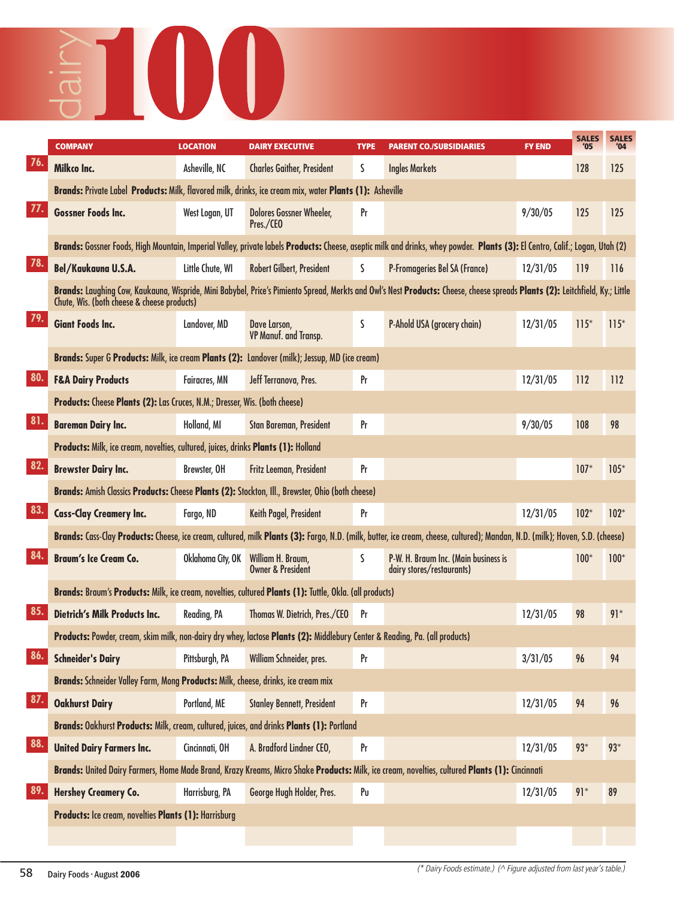## **COMPANY LOCATION DAIRY EXECUTIVE TYPE PARENT CO./SUBSIDIARIES FY END '05 '04** dairy

|     | <b>COMPANY</b>                                                                                                              | <b>LOCATION</b>      | <b>DAIRY EXECUTIVE</b>                            | <b>TYPE</b>    | <b>PARENT CO./SUBSIDIARIES</b>                                                                                                                                               | <b>FY END</b> | <b>SALES</b><br>'05 | <b>SALES</b><br>'04 |
|-----|-----------------------------------------------------------------------------------------------------------------------------|----------------------|---------------------------------------------------|----------------|------------------------------------------------------------------------------------------------------------------------------------------------------------------------------|---------------|---------------------|---------------------|
| 76. | Milkco Inc.                                                                                                                 | Asheville, NC        | <b>Charles Gaither, President</b>                 | S.             | <b>Ingles Markets</b>                                                                                                                                                        |               | 128                 | 125                 |
|     | Brands: Private Label Products: Milk, flavored milk, drinks, ice cream mix, water Plants (1): Asheville                     |                      |                                                   |                |                                                                                                                                                                              |               |                     |                     |
| 77. | <b>Gossner Foods Inc.</b>                                                                                                   | West Logan, UT       | <b>Dolores Gossner Wheeler,</b><br>Pres./CEO      | Pr             |                                                                                                                                                                              | 9/30/05       | 125                 | 125                 |
|     |                                                                                                                             |                      |                                                   |                | Brands: Gossner Foods, High Mountain, Imperial Valley, private labels Products: Cheese, aseptic milk and drinks, whey powder. Plants (3): El Centro, Calif.; Logan, Utah (2) |               |                     |                     |
| 78. | Bel/Kaukauna U.S.A.                                                                                                         | Little Chute, WI     | Robert Gilbert, President                         | S              | P-Fromageries Bel SA (France)                                                                                                                                                | 12/31/05      | 119                 | 116                 |
|     | Chute, Wis. (both cheese & cheese products)                                                                                 |                      |                                                   |                | Brands: Laughing Cow, Kaukauna, Wispride, Mini Babybel, Price's Pimiento Spread, Merkts and Owl's Nest Products: Cheese, cheese spreads Plants (2): Leitchfield, Ky.; Little |               |                     |                     |
| 79. | <b>Giant Foods Inc.</b>                                                                                                     | Landover, MD         | Dave Larson,<br>VP Manuf. and Transp.             | S              | P-Ahold USA (grocery chain)                                                                                                                                                  | 12/31/05      | $115*$              | $115*$              |
|     | Brands: Super G Products: Milk, ice cream Plants (2): Landover (milk); Jessup, MD (ice cream)                               |                      |                                                   |                |                                                                                                                                                                              |               |                     |                     |
| 80. | <b>F&amp;A Dairy Products</b>                                                                                               | <b>Fairacres, MN</b> | Jeff Terranova, Pres.                             | Pr             |                                                                                                                                                                              | 12/31/05      | 112                 | 112                 |
|     | Products: Cheese Plants (2): Las Cruces, N.M.; Dresser, Wis. (both cheese)                                                  |                      |                                                   |                |                                                                                                                                                                              |               |                     |                     |
| 81. | <b>Bareman Dairy Inc.</b>                                                                                                   | Holland, MI          | Stan Bareman, President                           | Pr             |                                                                                                                                                                              | 9/30/05       | 108                 | 98                  |
|     | Products: Milk, ice cream, novelties, cultured, juices, drinks Plants (1): Holland                                          |                      |                                                   |                |                                                                                                                                                                              |               |                     |                     |
| 82. | <b>Brewster Dairy Inc.</b>                                                                                                  | Brewster, OH         | Fritz Leeman, President                           | Pr             |                                                                                                                                                                              |               | $107*$              | $105*$              |
|     | Brands: Amish Classics Products: Cheese Plants (2): Stockton, Ill., Brewster, Ohio (both cheese)                            |                      |                                                   |                |                                                                                                                                                                              |               |                     |                     |
| 83. | <b>Cass-Clay Creamery Inc.</b>                                                                                              | Fargo, ND            | Keith Pagel, President                            | Pr             |                                                                                                                                                                              | 12/31/05      | $102*$              | $102*$              |
|     |                                                                                                                             |                      |                                                   |                | Brands: Cass-Clay Products: Cheese, ice cream, cultured, milk Plants (3): Fargo, N.D. (milk, butter, ice cream, cheese, cultured); Mandan, N.D. (milk); Hoven, S.D. (cheese) |               |                     |                     |
| 84  | <b>Braum's Ice Cream Co.</b>                                                                                                | Oklahoma City, OK    | William H. Braum,<br><b>Owner &amp; President</b> | S              | P-W. H. Braum Inc. (Main business is<br>dairy stores/restaurants)                                                                                                            |               | $100*$              | $100*$              |
|     | Brands: Braum's Products: Milk, ice cream, novelties, cultured Plants (1): Tuttle, Okla. (all products)                     |                      |                                                   |                |                                                                                                                                                                              |               |                     |                     |
| 85. | <b>Dietrich's Milk Products Inc.</b>                                                                                        | Reading, PA          | Thomas W. Dietrich, Pres./CEO                     | Pr             |                                                                                                                                                                              | 12/31/05      | 98                  | $91*$               |
|     | Products: Powder, cream, skim milk, non-dairy dry whey, lactose Plants (2): Middlebury Center & Reading, Pa. (all products) |                      |                                                   |                |                                                                                                                                                                              |               |                     |                     |
| 86. | <b>Schneider's Dairy</b>                                                                                                    | Pittsburgh, PA       | William Schneider, pres.                          | Pr             |                                                                                                                                                                              | 3/31/05       | 96                  | 94                  |
|     | Brands: Schneider Valley Farm, Mong Products: Milk, cheese, drinks, ice cream mix                                           |                      |                                                   |                |                                                                                                                                                                              |               |                     |                     |
| 87. | <b>Oakhurst Dairy</b>                                                                                                       | Portland, ME         | <b>Stanley Bennett, President</b>                 | Pr             |                                                                                                                                                                              | 12/31/05      | 94                  | 96                  |
|     | Brands: Oakhurst Products: Milk, cream, cultured, juices, and drinks Plants (1): Portland                                   |                      |                                                   |                |                                                                                                                                                                              |               |                     |                     |
| 88. | <b>United Dairy Farmers Inc.</b>                                                                                            | Cincinnati, OH       | A. Bradford Lindner CEO,                          | Pr             |                                                                                                                                                                              | 12/31/05      | $93*$               | $93*$               |
|     |                                                                                                                             |                      |                                                   |                | Brands: United Dairy Farmers, Home Made Brand, Krazy Kreams, Micro Shake Products: Milk, ice cream, novelties, cultured Plants (1): Cincinnati                               |               |                     |                     |
| 89. | <b>Hershey Creamery Co.</b>                                                                                                 | Harrisburg, PA       | George Hugh Holder, Pres.                         | P <sub>U</sub> |                                                                                                                                                                              | 12/31/05      | $91*$               | 89                  |
|     | Products: Ice cream, novelties Plants (1): Harrisburg                                                                       |                      |                                                   |                |                                                                                                                                                                              |               |                     |                     |
|     |                                                                                                                             |                      |                                                   |                |                                                                                                                                                                              |               |                     |                     |